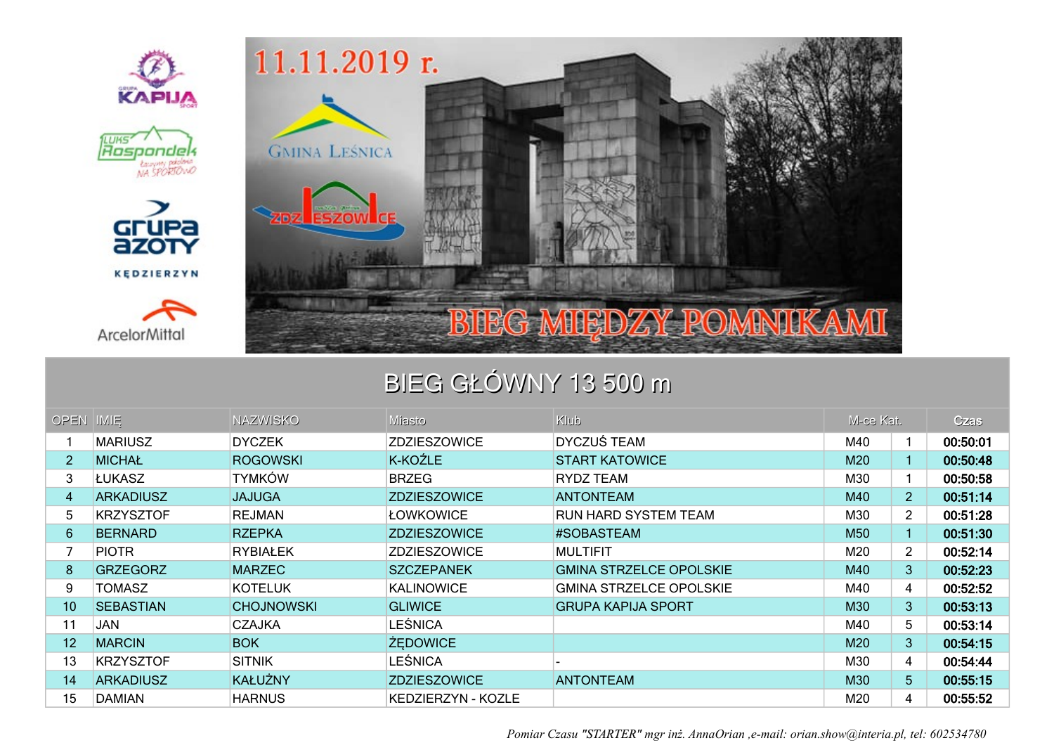

## BIEG GŁÓWNY 13 500 m

| OPEN IMIE      |                  | <b>NAZWISKO</b>   | Miasto              | Klub                           | M-ce Kat. |                | <b>Czas</b> |
|----------------|------------------|-------------------|---------------------|--------------------------------|-----------|----------------|-------------|
|                | <b>MARIUSZ</b>   | <b>DYCZEK</b>     | ZDZIESZOWICE        | <b>DYCZUŚ TEAM</b>             | M40       | 1              | 00:50:01    |
| $\overline{2}$ | <b>MICHAŁ</b>    | <b>ROGOWSKI</b>   | K-KOŹLE             | <b>START KATOWICE</b>          | M20       |                | 00:50:48    |
| 3              | ∣ŁUKASZ          | <b>TYMKÓW</b>     | <b>BRZEG</b>        | RYDZ TEAM                      | M30       |                | 00:50:58    |
| 4              | <b>ARKADIUSZ</b> | <b>JAJUGA</b>     | <b>ZDZIESZOWICE</b> | <b>ANTONTEAM</b>               | M40       | $\overline{2}$ | 00:51:14    |
| 5              | <b>KRZYSZTOF</b> | <b>REJMAN</b>     | ŁOWKOWICE           | <b>RUN HARD SYSTEM TEAM</b>    | M30       | $\overline{2}$ | 00:51:28    |
| 6              | <b>BERNARD</b>   | <b>RZEPKA</b>     | <b>ZDZIESZOWICE</b> | #SOBASTEAM                     | M50       |                | 00:51:30    |
|                | <b>PIOTR</b>     | <b>RYBIAŁEK</b>   | <b>ZDZIESZOWICE</b> | <b>MULTIFIT</b>                | M20       | $\overline{2}$ | 00:52:14    |
| 8              | <b>GRZEGORZ</b>  | <b>MARZEC</b>     | <b>SZCZEPANEK</b>   | <b>GMINA STRZELCE OPOLSKIE</b> | M40       | 3              | 00:52:23    |
| 9              | TOMASZ           | <b>KOTELUK</b>    | <b>KALINOWICE</b>   | <b>GMINA STRZELCE OPOLSKIE</b> | M40       | 4              | 00:52:52    |
| 10             | <b>SEBASTIAN</b> | <b>CHOJNOWSKI</b> | <b>GLIWICE</b>      | <b>GRUPA KAPIJA SPORT</b>      | M30       | 3 <sup>1</sup> | 00:53:13    |
| 11             | <b>JAN</b>       | <b>CZAJKA</b>     | <b>LEŚNICA</b>      |                                | M40       | 5              | 00:53:14    |
| 12             | <b>MARCIN</b>    | <b>BOK</b>        | <b>ŻEDOWICE</b>     |                                | M20       | 3              | 00:54:15    |
| 13             | <b>KRZYSZTOF</b> | <b>SITNIK</b>     | <b>LEŚNICA</b>      |                                | M30       | 4              | 00:54:44    |
| 14             | <b>ARKADIUSZ</b> | <b>KAŁUŻNY</b>    | <b>ZDZIESZOWICE</b> | <b>ANTONTEAM</b>               | M30       | 5 <sub>1</sub> | 00:55:15    |
| 15             | <b>DAMIAN</b>    | <b>HARNUS</b>     | KEDZIERZYN - KOZLE  |                                | M20       | 4              | 00:55:52    |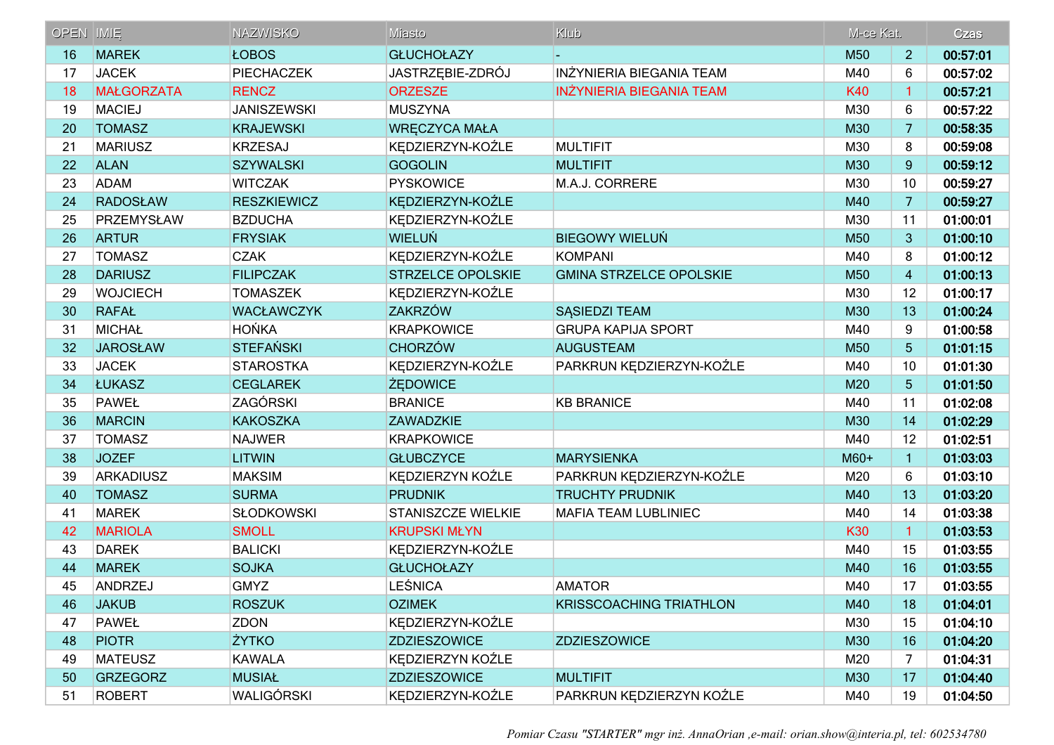| OPEN IMIE |                   | <b>NAZWISKO</b>    | Miasto                   | Klub                            | M-ce Kat.  |                 | Czas     |
|-----------|-------------------|--------------------|--------------------------|---------------------------------|------------|-----------------|----------|
| 16        | <b>MAREK</b>      | <b>ŁOBOS</b>       | <b>GŁUCHOŁAZY</b>        |                                 | M50        | 2               | 00:57:01 |
| 17        | <b>JACEK</b>      | PIECHACZEK         | JASTRZĘBIE-ZDRÓJ         | INŻYNIERIA BIEGANIA TEAM        | M40        | 6               | 00:57:02 |
| 18        | <b>MAŁGORZATA</b> | <b>RENCZ</b>       | <b>ORZESZE</b>           | <b>INZYNIERIA BIEGANIA TEAM</b> | <b>K40</b> | $\mathbf{1}$    | 00:57:21 |
| 19        | <b>MACIEJ</b>     | <b>JANISZEWSKI</b> | <b>MUSZYNA</b>           |                                 | M30        | 6               | 00:57:22 |
| 20        | <b>TOMASZ</b>     | <b>KRAJEWSKI</b>   | <b>WRECZYCA MAŁA</b>     |                                 | M30        | 7               | 00:58:35 |
| 21        | <b>MARIUSZ</b>    | <b>KRZESAJ</b>     | KĘDZIERZYN-KOŹLE         | <b>MULTIFIT</b>                 | M30        | 8               | 00:59:08 |
| 22        | <b>ALAN</b>       | <b>SZYWALSKI</b>   | <b>GOGOLIN</b>           | <b>MULTIFIT</b>                 | M30        | 9               | 00:59:12 |
| 23        | ADAM              | <b>WITCZAK</b>     | <b>PYSKOWICE</b>         | M.A.J. CORRERE                  | M30        | 10              | 00:59:27 |
| 24        | <b>RADOSŁAW</b>   | <b>RESZKIEWICZ</b> | KĘDZIERZYN-KOŹLE         |                                 | M40        | $\overline{7}$  | 00:59:27 |
| 25        | PRZEMYSŁAW        | <b>BZDUCHA</b>     | KĘDZIERZYN-KOŹLE         |                                 | M30        | 11              | 01:00:01 |
| 26        | <b>ARTUR</b>      | <b>FRYSIAK</b>     | <b>WIELUŃ</b>            | <b>BIEGOWY WIELUŃ</b>           | M50        | 3               | 01:00:10 |
| 27        | <b>TOMASZ</b>     | <b>CZAK</b>        | KEDZIERZYN-KOŹLE         | KOMPANI                         | M40        | 8               | 01:00:12 |
| 28        | <b>DARIUSZ</b>    | <b>FILIPCZAK</b>   | <b>STRZELCE OPOLSKIE</b> | <b>GMINA STRZELCE OPOLSKIE</b>  | M50        | $\overline{4}$  | 01:00:13 |
| 29        | <b>WOJCIECH</b>   | <b>TOMASZEK</b>    | KEDZIERZYN-KOŹLE         |                                 | M30        | 12              | 01:00:17 |
| 30        | <b>RAFAŁ</b>      | <b>WACŁAWCZYK</b>  | <b>ZAKRZÓW</b>           | <b>SASIEDZI TEAM</b>            | M30        | 13              | 01:00:24 |
| 31        | MICHAŁ            | <b>HOŃKA</b>       | <b>KRAPKOWICE</b>        | <b>GRUPA KAPIJA SPORT</b>       | M40        | 9               | 01:00:58 |
| 32        | <b>JAROSŁAW</b>   | <b>STEFAŃSKI</b>   | <b>CHORZÓW</b>           | <b>AUGUSTEAM</b>                | M50        | $5\phantom{.}$  | 01:01:15 |
| 33        | <b>JACEK</b>      | <b>STAROSTKA</b>   | KĘDZIERZYN-KOŹLE         | PARKRUN KĘDZIERZYN-KOŹLE        | M40        | 10              | 01:01:30 |
| 34        | <b>ŁUKASZ</b>     | <b>CEGLAREK</b>    | <b>ŻEDOWICE</b>          |                                 | M20        | $5\phantom{.0}$ | 01:01:50 |
| 35        | PAWEŁ             | ZAGÓRSKI           | <b>BRANICE</b>           | <b>KB BRANICE</b>               | M40        | 11              | 01:02:08 |
| 36        | <b>MARCIN</b>     | <b>KAKOSZKA</b>    | <b>ZAWADZKIE</b>         |                                 | M30        | 14              | 01:02:29 |
| 37        | <b>TOMASZ</b>     | <b>NAJWER</b>      | <b>KRAPKOWICE</b>        |                                 | M40        | 12              | 01:02:51 |
| 38        | <b>JOZEF</b>      | <b>LITWIN</b>      | <b>GŁUBCZYCE</b>         | <b>MARYSIENKA</b>               | M60+       | $\mathbf{1}$    | 01:03:03 |
| 39        | ARKADIUSZ         | <b>MAKSIM</b>      | KĘDZIERZYN KOŹLE         | PARKRUN KĘDZIERZYN-KOŹLE        | M20        | 6               | 01:03:10 |
| 40        | <b>TOMASZ</b>     | <b>SURMA</b>       | <b>PRUDNIK</b>           | <b>TRUCHTY PRUDNIK</b>          | M40        | 13              | 01:03:20 |
| 41        | <b>MAREK</b>      | <b>SŁODKOWSKI</b>  | STANISZCZE WIELKIE       | <b>MAFIA TEAM LUBLINIEC</b>     | M40        | 14              | 01:03:38 |
| 42        | <b>MARIOLA</b>    | <b>SMOLL</b>       | <b>KRUPSKI MŁYN</b>      |                                 | K30        | $\mathbf{1}$    | 01:03:53 |
| 43        | <b>DAREK</b>      | <b>BALICKI</b>     | KĘDZIERZYN-KOŹLE         |                                 | M40        | 15              | 01:03:55 |
| 44        | <b>MAREK</b>      | <b>SOJKA</b>       | <b>GŁUCHOŁAZY</b>        |                                 | M40        | 16              | 01:03:55 |
| 45        | ANDRZEJ           | <b>GMYZ</b>        | <b>LEŚNICA</b>           | <b>AMATOR</b>                   | M40        | 17              | 01:03:55 |
| 46        | <b>JAKUB</b>      | <b>ROSZUK</b>      | <b>OZIMEK</b>            | <b>KRISSCOACHING TRIATHLON</b>  | M40        | 18              | 01:04:01 |
| 47        | PAWEŁ             | <b>ZDON</b>        | KEDZIERZYN-KOŹLE         |                                 | M30        | 15              | 01:04:10 |
| 48        | <b>PIOTR</b>      | <b>ŻYTKO</b>       | <b>ZDZIESZOWICE</b>      | <b>ZDZIESZOWICE</b>             | M30        | 16              | 01:04:20 |
| 49        | <b>MATEUSZ</b>    | <b>KAWALA</b>      | KEDZIERZYN KOŹLE         |                                 | M20        | 7               | 01:04:31 |
| 50        | <b>GRZEGORZ</b>   | <b>MUSIAŁ</b>      | <b>ZDZIESZOWICE</b>      | <b>MULTIFIT</b>                 | M30        | 17              | 01:04:40 |
| 51        | ROBERT            | WALIGÓRSKI         | KĘDZIERZYN-KOŹLE         | PARKRUN KĘDZIERZYN KOŹLE        | M40        | 19              | 01:04:50 |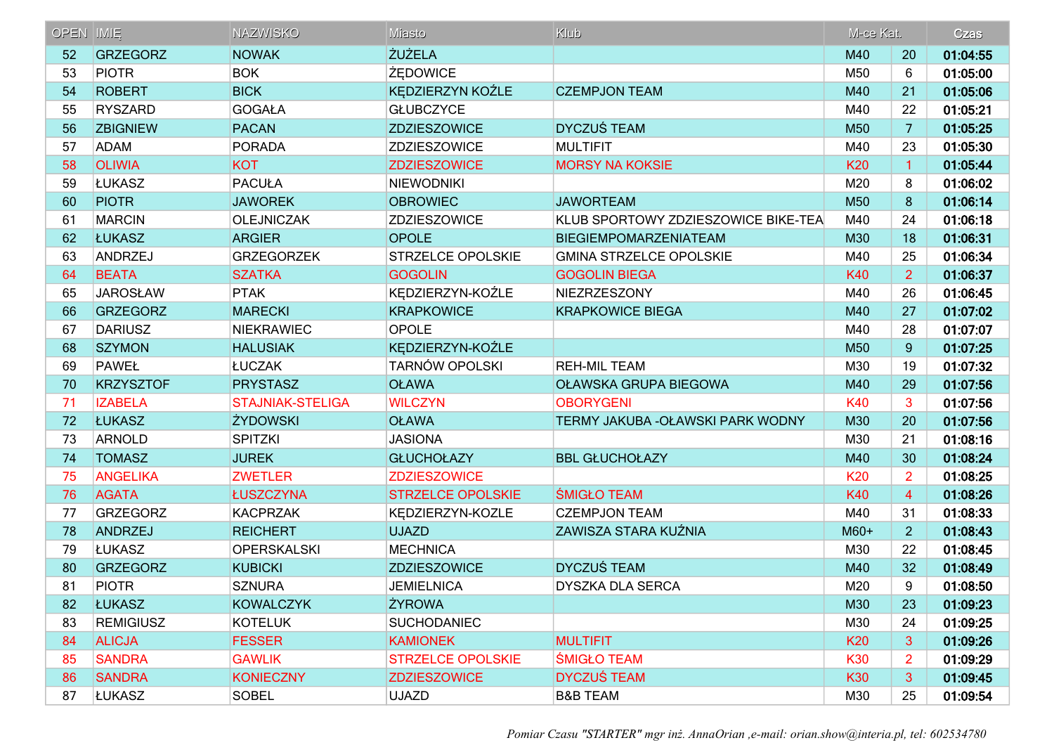| OPEN IMIE |                  | <b>NAZWISKO</b>         | Miasto                   | Klub                                | M-ce Kat.  |                | Czas     |
|-----------|------------------|-------------------------|--------------------------|-------------------------------------|------------|----------------|----------|
| 52        | <b>GRZEGORZ</b>  | <b>NOWAK</b>            | <b>ŻUŻELA</b>            |                                     | M40        | 20             | 01:04:55 |
| 53        | <b>PIOTR</b>     | <b>BOK</b>              | ŻĘDOWICE                 |                                     | M50        | 6              | 01:05:00 |
| 54        | <b>ROBERT</b>    | <b>BICK</b>             | KĘDZIERZYN KOŹLE         | <b>CZEMPJON TEAM</b>                | M40        | 21             | 01:05:06 |
| 55        | <b>RYSZARD</b>   | <b>GOGAŁA</b>           | <b>GŁUBCZYCE</b>         |                                     | M40        | 22             | 01:05:21 |
| 56        | <b>ZBIGNIEW</b>  | <b>PACAN</b>            | <b>ZDZIESZOWICE</b>      | <b>DYCZUŚ TEAM</b>                  | M50        | 7              | 01:05:25 |
| 57        | <b>ADAM</b>      | <b>PORADA</b>           | ZDZIESZOWICE             | <b>MULTIFIT</b>                     | M40        | 23             | 01:05:30 |
| 58        | <b>OLIWIA</b>    | <b>KOT</b>              | <b>ZDZIESZOWICE</b>      | <b>MORSY NA KOKSIE</b>              | <b>K20</b> | $\mathbf{1}$   | 01:05:44 |
| 59        | <b>LUKASZ</b>    | <b>PACUŁA</b>           | <b>NIEWODNIKI</b>        |                                     | M20        | 8              | 01:06:02 |
| 60        | <b>PIOTR</b>     | <b>JAWOREK</b>          | <b>OBROWIEC</b>          | <b>JAWORTEAM</b>                    | M50        | 8              | 01:06:14 |
| 61        | <b>MARCIN</b>    | <b>OLEJNICZAK</b>       | ZDZIESZOWICE             | KLUB SPORTOWY ZDZIESZOWICE BIKE-TEA | M40        | 24             | 01:06:18 |
| 62        | <b>ŁUKASZ</b>    | <b>ARGIER</b>           | <b>OPOLE</b>             | <b>BIEGIEMPOMARZENIATEAM</b>        | M30        | 18             | 01:06:31 |
| 63        | ANDRZEJ          | <b>GRZEGORZEK</b>       | STRZELCE OPOLSKIE        | <b>GMINA STRZELCE OPOLSKIE</b>      | M40        | 25             | 01:06:34 |
| 64        | <b>BEATA</b>     | <b>SZATKA</b>           | <b>GOGOLIN</b>           | <b>GOGOLIN BIEGA</b>                | K40        | $\overline{2}$ | 01:06:37 |
| 65        | <b>JAROSŁAW</b>  | <b>PTAK</b>             | KĘDZIERZYN-KOŹLE         | <b>NIEZRZESZONY</b>                 | M40        | 26             | 01:06:45 |
| 66        | <b>GRZEGORZ</b>  | <b>MARECKI</b>          | <b>KRAPKOWICE</b>        | <b>KRAPKOWICE BIEGA</b>             | M40        | 27             | 01:07:02 |
| 67        | <b>DARIUSZ</b>   | <b>NIEKRAWIEC</b>       | <b>OPOLE</b>             |                                     | M40        | 28             | 01:07:07 |
| 68        | <b>SZYMON</b>    | <b>HALUSIAK</b>         | KEDZIERZYN-KOŹLE         |                                     | M50        | 9              | 01:07:25 |
| 69        | <b>PAWEŁ</b>     | ŁUCZAK                  | <b>TARNÓW OPOLSKI</b>    | <b>REH-MIL TEAM</b>                 | M30        | 19             | 01:07:32 |
| 70        | <b>KRZYSZTOF</b> | <b>PRYSTASZ</b>         | <b>OŁAWA</b>             | OŁAWSKA GRUPA BIEGOWA               | M40        | 29             | 01:07:56 |
| 71        | <b>IZABELA</b>   | <b>STAJNIAK-STELIGA</b> | <b>WILCZYN</b>           | <b>OBORYGENI</b>                    | K40        | 3              | 01:07:56 |
| 72        | <b>ŁUKASZ</b>    | <b>ŻYDOWSKI</b>         | <b>OŁAWA</b>             | TERMY JAKUBA - OŁAWSKI PARK WODNY   | M30        | 20             | 01:07:56 |
| 73        | ARNOLD           | <b>SPITZKI</b>          | <b>JASIONA</b>           |                                     | M30        | 21             | 01:08:16 |
| 74        | <b>TOMASZ</b>    | <b>JUREK</b>            | <b>GŁUCHOŁAZY</b>        | <b>BBL GŁUCHOŁAZY</b>               | M40        | 30             | 01:08:24 |
| 75        | <b>ANGELIKA</b>  | <b>ZWETLER</b>          | <b>ZDZIESZOWICE</b>      |                                     | <b>K20</b> | 2              | 01:08:25 |
| 76        | <b>AGATA</b>     | ŁUSZCZYNA               | <b>STRZELCE OPOLSKIE</b> | <b>ŚMIGŁO TEAM</b>                  | <b>K40</b> | 4              | 01:08:26 |
| 77        | <b>GRZEGORZ</b>  | <b>KACPRZAK</b>         | KĘDZIERZYN-KOZLE         | <b>CZEMPJON TEAM</b>                | M40        | 31             | 01:08:33 |
| 78        | ANDRZEJ          | <b>REICHERT</b>         | <b>UJAZD</b>             | ZAWISZA STARA KUŹNIA                | $M60+$     | $\overline{2}$ | 01:08:43 |
| 79        | <b>LUKASZ</b>    | <b>OPERSKALSKI</b>      | <b>MECHNICA</b>          |                                     | M30        | 22             | 01:08:45 |
| 80        | <b>GRZEGORZ</b>  | <b>KUBICKI</b>          | <b>ZDZIESZOWICE</b>      | <b>DYCZUŚ TEAM</b>                  | M40        | 32             | 01:08:49 |
| 81        | <b>PIOTR</b>     | <b>SZNURA</b>           | <b>JEMIELNICA</b>        | DYSZKA DLA SERCA                    | M20        | 9              | 01:08:50 |
| 82        | <b>LUKASZ</b>    | <b>KOWALCZYK</b>        | <b>ŻYROWA</b>            |                                     | M30        | 23             | 01:09:23 |
| 83        | <b>REMIGIUSZ</b> | <b>KOTELUK</b>          | <b>SUCHODANIEC</b>       |                                     | M30        | 24             | 01:09:25 |
| 84        | <b>ALICJA</b>    | <b>FESSER</b>           | <b>KAMIONEK</b>          | <b>MULTIFIT</b>                     | K20        | 3              | 01:09:26 |
| 85        | <b>SANDRA</b>    | <b>GAWLIK</b>           | <b>STRZELCE OPOLSKIE</b> | <b>SMIGŁO TEAM</b>                  | <b>K30</b> | 2              | 01:09:29 |
| 86        | <b>SANDRA</b>    | <b>KONIECZNY</b>        | <b>ZDZIESZOWICE</b>      | <b>DYCZUŚ TEAM</b>                  | <b>K30</b> | 3              | 01:09:45 |
| 87        | <b>LUKASZ</b>    | <b>SOBEL</b>            | <b>UJAZD</b>             | <b>B&amp;B TEAM</b>                 | M30        | 25             | 01:09:54 |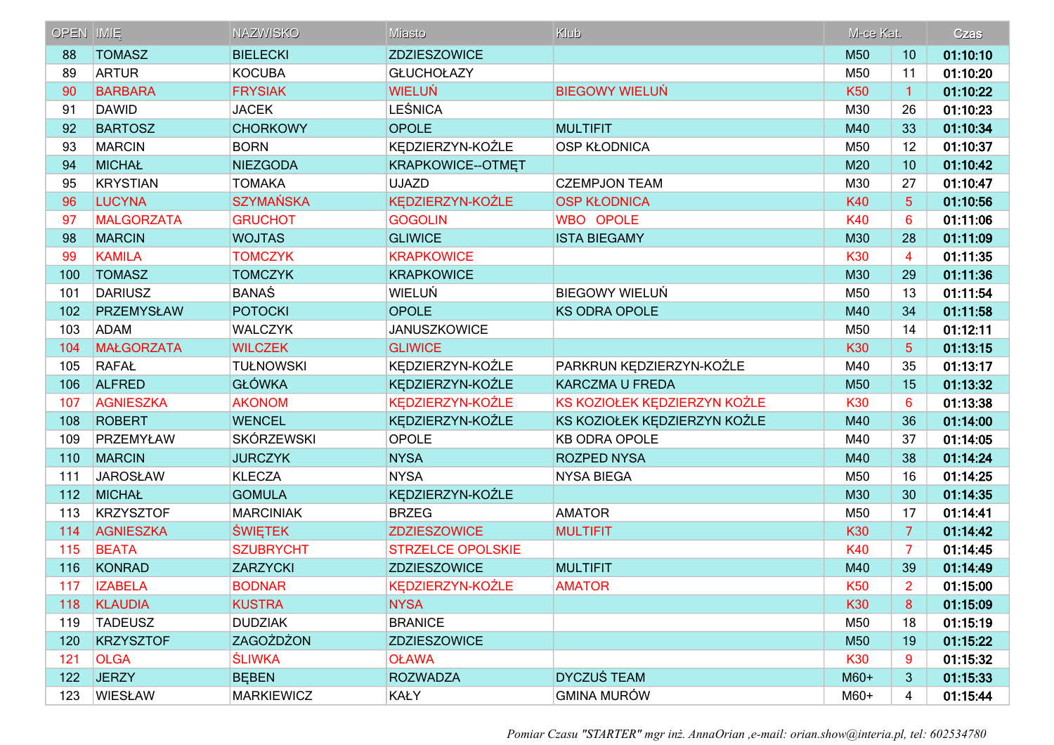| <b>OPEN IMIE</b> |                   | <b>NAZWISKO</b>   | Miasto                   | Klub                         | M-ce Kat.  |                 | Czas     |
|------------------|-------------------|-------------------|--------------------------|------------------------------|------------|-----------------|----------|
| 88               | <b>TOMASZ</b>     | <b>BIELECKI</b>   | <b>ZDZIESZOWICE</b>      |                              | M50        | 10              | 01:10:10 |
| 89               | <b>ARTUR</b>      | <b>KOCUBA</b>     | <b>GŁUCHOŁAZY</b>        |                              | M50        | 11              | 01:10:20 |
| 90               | <b>BARBARA</b>    | <b>FRYSIAK</b>    | <b>WIELUŃ</b>            | <b>BIEGOWY WIELUŃ</b>        | <b>K50</b> | $\mathbf{1}$    | 01:10:22 |
| 91               | <b>DAWID</b>      | <b>JACEK</b>      | <b>LEŚNICA</b>           |                              | M30        | 26              | 01:10:23 |
| 92               | <b>BARTOSZ</b>    | <b>CHORKOWY</b>   | <b>OPOLE</b>             | <b>MULTIFIT</b>              | M40        | 33              | 01:10:34 |
| 93               | <b>MARCIN</b>     | <b>BORN</b>       | KĘDZIERZYN-KOŹLE         | <b>OSP KŁODNICA</b>          | M50        | 12              | 01:10:37 |
| 94               | <b>MICHAŁ</b>     | <b>NIEZGODA</b>   | KRAPKOWICE--OTMET        |                              | M20        | 10              | 01:10:42 |
| 95               | KRYSTIAN          | <b>TOMAKA</b>     | <b>UJAZD</b>             | <b>CZEMPJON TEAM</b>         | M30        | 27              | 01:10:47 |
| 96               | <b>LUCYNA</b>     | <b>SZYMAŃSKA</b>  | KĘDZIERZYN-KOŹLE         | <b>OSP KŁODNICA</b>          | <b>K40</b> | $5\phantom{1}$  | 01:10:56 |
| 97               | <b>MALGORZATA</b> | <b>GRUCHOT</b>    | <b>GOGOLIN</b>           | <b>WBO OPOLE</b>             | <b>K40</b> | $6\phantom{1}6$ | 01:11:06 |
| 98               | <b>MARCIN</b>     | <b>WOJTAS</b>     | <b>GLIWICE</b>           | <b>ISTA BIEGAMY</b>          | M30        | 28              | 01:11:09 |
| 99               | <b>KAMILA</b>     | <b>TOMCZYK</b>    | <b>KRAPKOWICE</b>        |                              | K30        | 4               | 01:11:35 |
| 100              | <b>TOMASZ</b>     | <b>TOMCZYK</b>    | <b>KRAPKOWICE</b>        |                              | M30        | 29              | 01:11:36 |
| 101              | <b>DARIUSZ</b>    | <b>BANAŚ</b>      | WIELUŃ                   | <b>BIEGOWY WIELUŃ</b>        | M50        | 13              | 01:11:54 |
| 102              | PRZEMYSŁAW        | <b>POTOCKI</b>    | <b>OPOLE</b>             | <b>KS ODRA OPOLE</b>         | M40        | 34              | 01:11:58 |
| 103              | <b>ADAM</b>       | <b>WALCZYK</b>    | <b>JANUSZKOWICE</b>      |                              | M50        | 14              | 01:12:11 |
| 104              | <b>MAŁGORZATA</b> | <b>WILCZEK</b>    | <b>GLIWICE</b>           |                              | K30        | 5               | 01:13:15 |
| 105              | RAFAŁ             | <b>TUŁNOWSKI</b>  | KEDZIERZYN-KOŹLE         | PARKRUN KĘDZIERZYN-KOŹLE     | M40        | 35              | 01:13:17 |
| 106              | <b>ALFRED</b>     | <b>GŁÓWKA</b>     | KEDZIERZYN-KOŹLE         | <b>KARCZMA U FREDA</b>       | M50        | 15              | 01:13:32 |
| 107              | <b>AGNIESZKA</b>  | <b>AKONOM</b>     | KEDZIERZYN-KOŹLE         | KS KOZIOŁEK KĘDZIERZYN KOŹLE | <b>K30</b> | 6               | 01:13:38 |
| 108              | <b>ROBERT</b>     | <b>WENCEL</b>     | KĘDZIERZYN-KOŹLE         | KS KOZIOŁEK KĘDZIERZYN KOŹLE | M40        | 36              | 01:14:00 |
| 109              | PRZEMYŁAW         | <b>SKÓRZEWSKI</b> | <b>OPOLE</b>             | <b>KB ODRA OPOLE</b>         | M40        | 37              | 01:14:05 |
| 110              | <b>MARCIN</b>     | <b>JURCZYK</b>    | <b>NYSA</b>              | <b>ROZPED NYSA</b>           | M40        | 38              | 01:14:24 |
| 111              | <b>JAROSŁAW</b>   | <b>KLECZA</b>     | <b>NYSA</b>              | <b>NYSA BIEGA</b>            | M50        | 16              | 01:14:25 |
| 112              | <b>MICHAŁ</b>     | <b>GOMULA</b>     | KĘDZIERZYN-KOŹLE         |                              | M30        | 30              | 01:14:35 |
| 113              | KRZYSZTOF         | <b>MARCINIAK</b>  | <b>BRZEG</b>             | <b>AMATOR</b>                | M50        | 17              | 01:14:41 |
| 114              | <b>AGNIESZKA</b>  | <b>ŚWIĘTEK</b>    | <b>ZDZIESZOWICE</b>      | <b>MULTIFIT</b>              | K30        | $\overline{7}$  | 01:14:42 |
| 115              | <b>BEATA</b>      | <b>SZUBRYCHT</b>  | <b>STRZELCE OPOLSKIE</b> |                              | K40        | 7               | 01:14:45 |
| 116              | KONRAD            | <b>ZARZYCKI</b>   | <b>ZDZIESZOWICE</b>      | <b>MULTIFIT</b>              | M40        | 39              | 01:14:49 |
| 117              | <b>IZABELA</b>    | <b>BODNAR</b>     | KĘDZIERZYN-KOŹLE         | <b>AMATOR</b>                | <b>K50</b> | $\overline{2}$  | 01:15:00 |
| 118              | <b>KLAUDIA</b>    | <b>KUSTRA</b>     | <b>NYSA</b>              |                              | <b>K30</b> | 8               | 01:15:09 |
| 119              | <b>TADEUSZ</b>    | <b>DUDZIAK</b>    | <b>BRANICE</b>           |                              | M50        | 18              | 01:15:19 |
| 120              | <b>KRZYSZTOF</b>  | <b>ZAGOŻDŻON</b>  | <b>ZDZIESZOWICE</b>      |                              | M50        | 19              | 01:15:22 |
| 121              | <b>OLGA</b>       | <b>SLIWKA</b>     | <b>OŁAWA</b>             |                              | <b>K30</b> | 9               | 01:15:32 |
| 122              | <b>JERZY</b>      | <b>BEBEN</b>      | <b>ROZWADZA</b>          | <b>DYCZUŚ TEAM</b>           | $M60+$     | 3               | 01:15:33 |
| 123              | WIESŁAW           | <b>MARKIEWICZ</b> | <b>KAŁY</b>              | <b>GMINA MURÓW</b>           | M60+       | 4               | 01:15:44 |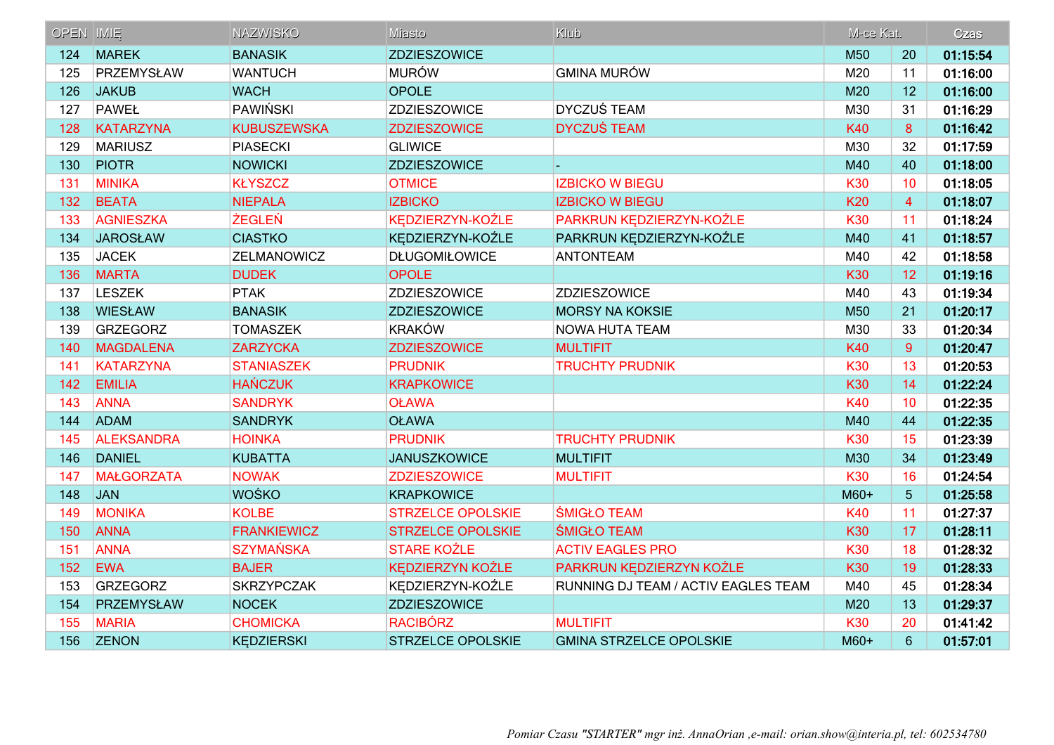| <b>OPEN IMIE</b> |                   | <b>NAZWISKO</b>    | Miasto                   | Klub                                | M-ce Kat.  |                 | Czas     |
|------------------|-------------------|--------------------|--------------------------|-------------------------------------|------------|-----------------|----------|
| 124              | <b>MAREK</b>      | <b>BANASIK</b>     | <b>ZDZIESZOWICE</b>      |                                     | M50        | 20              | 01:15:54 |
| 125              | PRZEMYSŁAW        | <b>WANTUCH</b>     | <b>MURÓW</b>             | <b>GMINA MURÓW</b>                  | M20        | 11              | 01:16:00 |
| 126              | <b>JAKUB</b>      | <b>WACH</b>        | <b>OPOLE</b>             |                                     | M20        | 12              | 01:16:00 |
| 127              | PAWEŁ             | PAWIŃSKI           | ZDZIESZOWICE             | <b>DYCZUŚ TEAM</b>                  | M30        | 31              | 01:16:29 |
| 128              | <b>KATARZYNA</b>  | <b>KUBUSZEWSKA</b> | <b>ZDZIESZOWICE</b>      | <b>DYCZUŚ TEAM</b>                  | <b>K40</b> | 8               | 01:16:42 |
| 129              | <b>MARIUSZ</b>    | <b>PIASECKI</b>    | <b>GLIWICE</b>           |                                     | M30        | 32              | 01:17:59 |
| 130              | <b>PIOTR</b>      | <b>NOWICKI</b>     | <b>ZDZIESZOWICE</b>      |                                     | M40        | 40              | 01:18:00 |
| 131              | <b>MINIKA</b>     | <b>KŁYSZCZ</b>     | <b>OTMICE</b>            | <b>IZBICKO W BIEGU</b>              | K30        | 10              | 01:18:05 |
| 132              | <b>BEATA</b>      | <b>NIEPALA</b>     | <b>IZBICKO</b>           | <b>IZBICKO W BIEGU</b>              | <b>K20</b> | $\overline{4}$  | 01:18:07 |
| 133              | <b>AGNIESZKA</b>  | <b>ŻEGLEŃ</b>      | KĘDZIERZYN-KOŹLE         | PARKRUN KĘDZIERZYN-KOŹLE            | <b>K30</b> | 11              | 01:18:24 |
| 134              | <b>JAROSŁAW</b>   | <b>CIASTKO</b>     | KĘDZIERZYN-KOŹLE         | PARKRUN KĘDZIERZYN-KOŹLE            | M40        | 41              | 01:18:57 |
| 135              | <b>JACEK</b>      | ZELMANOWICZ        | <b>DŁUGOMIŁOWICE</b>     | <b>ANTONTEAM</b>                    | M40        | 42              | 01:18:58 |
| 136              | <b>MARTA</b>      | <b>DUDEK</b>       | <b>OPOLE</b>             |                                     | K30        | 12              | 01:19:16 |
| 137              | <b>LESZEK</b>     | <b>PTAK</b>        | ZDZIESZOWICE             | <b>ZDZIESZOWICE</b>                 | M40        | 43              | 01:19:34 |
| 138              | <b>WIESŁAW</b>    | <b>BANASIK</b>     | <b>ZDZIESZOWICE</b>      | <b>MORSY NA KOKSIE</b>              | M50        | 21              | 01:20:17 |
| 139              | GRZEGORZ          | <b>TOMASZEK</b>    | <b>KRAKÓW</b>            | <b>NOWA HUTA TEAM</b>               | M30        | 33              | 01:20:34 |
| 140              | MAGDALENA         | <b>ZARZYCKA</b>    | <b>ZDZIESZOWICE</b>      | <b>MULTIFIT</b>                     | <b>K40</b> | 9               | 01:20:47 |
| 141              | <b>KATARZYNA</b>  | <b>STANIASZEK</b>  | <b>PRUDNIK</b>           | <b>TRUCHTY PRUDNIK</b>              | <b>K30</b> | 13              | 01:20:53 |
| 142              | <b>EMILIA</b>     | <b>HAŃCZUK</b>     | <b>KRAPKOWICE</b>        |                                     | <b>K30</b> | 14              | 01:22:24 |
| 143              | <b>ANNA</b>       | <b>SANDRYK</b>     | <b>OŁAWA</b>             |                                     | <b>K40</b> | 10              | 01:22:35 |
| 144              | <b>ADAM</b>       | <b>SANDRYK</b>     | <b>OŁAWA</b>             |                                     | M40        | 44              | 01:22:35 |
| 145              | <b>ALEKSANDRA</b> | <b>HOINKA</b>      | <b>PRUDNIK</b>           | <b>TRUCHTY PRUDNIK</b>              | K30        | 15              | 01:23:39 |
| 146              | <b>DANIEL</b>     | <b>KUBATTA</b>     | <b>JANUSZKOWICE</b>      | <b>MULTIFIT</b>                     | M30        | 34              | 01:23:49 |
| 147              | <b>MAŁGORZATA</b> | <b>NOWAK</b>       | <b>ZDZIESZOWICE</b>      | <b>MULTIFIT</b>                     | <b>K30</b> | 16              | 01:24:54 |
| 148              | JAN               | <b>WOŚKO</b>       | <b>KRAPKOWICE</b>        |                                     | $M60+$     | $5\phantom{.0}$ | 01:25:58 |
| 149              | <b>MONIKA</b>     | <b>KOLBE</b>       | <b>STRZELCE OPOLSKIE</b> | <b>ŚMIGŁO TEAM</b>                  | <b>K40</b> | 11              | 01:27:37 |
| 150              | <b>ANNA</b>       | <b>FRANKIEWICZ</b> | <b>STRZELCE OPOLSKIE</b> | <b>SMIGŁO TEAM</b>                  | K30        | 17              | 01:28:11 |
| 151              | <b>ANNA</b>       | <b>SZYMAŃSKA</b>   | <b>STARE KOŹLE</b>       | <b>ACTIV EAGLES PRO</b>             | K30        | 18              | 01:28:32 |
| 152              | <b>EWA</b>        | <b>BAJER</b>       | <b>KEDZIERZYN KOŹLE</b>  | PARKRUN KEDZIERZYN KOŹLE            | K30        | 19              | 01:28:33 |
| 153              | GRZEGORZ          | <b>SKRZYPCZAK</b>  | KEDZIERZYN-KOŹLE         | RUNNING DJ TEAM / ACTIV EAGLES TEAM | M40        | 45              | 01:28:34 |
| 154              | PRZEMYSŁAW        | <b>NOCEK</b>       | <b>ZDZIESZOWICE</b>      |                                     | M20        | 13              | 01:29:37 |
| 155              | <b>MARIA</b>      | <b>CHOMICKA</b>    | <b>RACIBÓRZ</b>          | <b>MULTIFIT</b>                     | <b>K30</b> | 20              | 01:41:42 |
| 156              | <b>ZENON</b>      | <b>KEDZIERSKI</b>  | <b>STRZELCE OPOLSKIE</b> | <b>GMINA STRZELCE OPOLSKIE</b>      | M60+       | $6\phantom{1}$  | 01:57:01 |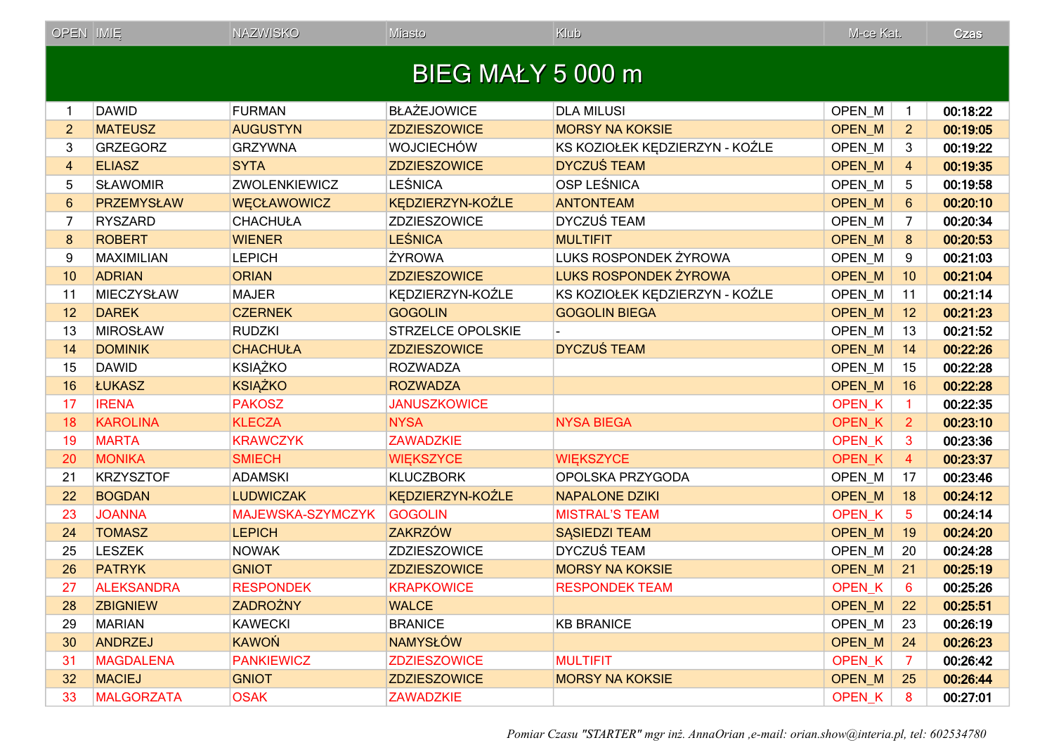| <b>OPEN IMIE</b> |                   | <b>NAZWISKO</b>      | Miasto                   | Klub                           | M-ce Kat.         |                 | Czas     |
|------------------|-------------------|----------------------|--------------------------|--------------------------------|-------------------|-----------------|----------|
|                  |                   |                      | <b>BIEG MAŁY 5 000 m</b> |                                |                   |                 |          |
|                  | <b>DAWID</b>      | <b>FURMAN</b>        | <b>BŁAŻEJOWICE</b>       | <b>DLA MILUSI</b>              | OPEN_M            | 1               | 00:18:22 |
| $\overline{2}$   | <b>MATEUSZ</b>    | <b>AUGUSTYN</b>      | <b>ZDZIESZOWICE</b>      | <b>MORSY NA KOKSIE</b>         | OPEN_M            | $\overline{2}$  | 00:19:05 |
| 3                | <b>GRZEGORZ</b>   | <b>GRZYWNA</b>       | <b>WOJCIECHÓW</b>        | KS KOZIOŁEK KĘDZIERZYN - KOŹLE | OPEN M            | 3               | 00:19:22 |
| 4                | <b>ELIASZ</b>     | <b>SYTA</b>          | <b>ZDZIESZOWICE</b>      | <b>DYCZUŚ TEAM</b>             | OPEN_M            | $\overline{4}$  | 00:19:35 |
| 5                | <b>SŁAWOMIR</b>   | <b>ZWOLENKIEWICZ</b> | <b>LEŚNICA</b>           | OSP LEŚNICA                    | OPEN_M            | 5               | 00:19:58 |
| $6\phantom{1}$   | <b>PRZEMYSŁAW</b> | <b>WECŁAWOWICZ</b>   | KĘDZIERZYN-KOŹLE         | <b>ANTONTEAM</b>               | OPEN_M            | $6\phantom{1}6$ | 00:20:10 |
| 7                | <b>RYSZARD</b>    | <b>CHACHUŁA</b>      | <b>ZDZIESZOWICE</b>      | <b>DYCZUŚ TEAM</b>             | OPEN M            | 7               | 00:20:34 |
| 8                | <b>ROBERT</b>     | <b>WIENER</b>        | <b>LEŚNICA</b>           | <b>MULTIFIT</b>                | <b>OPEN M</b>     | 8               | 00:20:53 |
| 9                | <b>MAXIMILIAN</b> | <b>LEPICH</b>        | ŻYROWA                   | LUKS ROSPONDEK ŻYROWA          | OPEN_M            | 9               | 00:21:03 |
| 10               | <b>ADRIAN</b>     | <b>ORIAN</b>         | <b>ZDZIESZOWICE</b>      | <b>LUKS ROSPONDEK ŻYROWA</b>   | OPEN_M            | 10              | 00:21:04 |
| 11               | <b>MIECZYSŁAW</b> | <b>MAJER</b>         | KĘDZIERZYN-KOŹLE         | KS KOZIOŁEK KĘDZIERZYN - KOŹLE | OPEN_M            | 11              | 00:21:14 |
| 12               | <b>DAREK</b>      | <b>CZERNEK</b>       | <b>GOGOLIN</b>           | <b>GOGOLIN BIEGA</b>           | OPEN_M            | 12              | 00:21:23 |
| 13               | <b>MIROSŁAW</b>   | <b>RUDZKI</b>        | STRZELCE OPOLSKIE        |                                | OPEN_M            | 13              | 00:21:52 |
| 14               | <b>DOMINIK</b>    | <b>CHACHUŁA</b>      | <b>ZDZIESZOWICE</b>      | <b>DYCZUŚ TEAM</b>             | <b>OPEN M</b>     | 14              | 00:22:26 |
| 15               | <b>DAWID</b>      | <b>KSIĄŻKO</b>       | <b>ROZWADZA</b>          |                                | OPEN_M            | 15              | 00:22:28 |
| 16               | <b>ŁUKASZ</b>     | <b>KSIĄŻKO</b>       | <b>ROZWADZA</b>          |                                | <b>OPEN M</b>     | 16              | 00:22:28 |
| 17               | <b>IRENA</b>      | <b>PAKOSZ</b>        | <b>JANUSZKOWICE</b>      |                                | OPEN_K            | $\mathbf{1}$    | 00:22:35 |
| 18               | <b>KAROLINA</b>   | <b>KLECZA</b>        | <b>NYSA</b>              | <b>NYSA BIEGA</b>              | OPEN_K            | $\overline{2}$  | 00:23:10 |
| 19               | <b>MARTA</b>      | <b>KRAWCZYK</b>      | <b>ZAWADZKIE</b>         |                                | <b>OPEN K</b>     | 3               | 00:23:36 |
| 20               | <b>MONIKA</b>     | <b>SMIECH</b>        | <b>WIĘKSZYCE</b>         | <b>WIEKSZYCE</b>               | OPEN <sub>K</sub> | $\overline{4}$  | 00:23:37 |
| 21               | <b>KRZYSZTOF</b>  | <b>ADAMSKI</b>       | <b>KLUCZBORK</b>         | OPOLSKA PRZYGODA               | OPEN_M            | 17              | 00:23:46 |
| 22               | <b>BOGDAN</b>     | <b>LUDWICZAK</b>     | KĘDZIERZYN-KOŹLE         | <b>NAPALONE DZIKI</b>          | OPEN_M            | 18              | 00:24:12 |
| 23               | <b>JOANNA</b>     | MAJEWSKA-SZYMCZYK    | <b>GOGOLIN</b>           | <b>MISTRAL'S TEAM</b>          | <b>OPEN K</b>     | 5               | 00:24:14 |
| 24               | <b>TOMASZ</b>     | <b>LEPICH</b>        | <b>ZAKRZÓW</b>           | <b>SASIEDZI TEAM</b>           | OPEN_M            | 19              | 00:24:20 |
| 25               | <b>LESZEK</b>     | <b>NOWAK</b>         | ZDZIESZOWICE             | <b>DYCZUŚ TEAM</b>             | OPEN_M            | 20              | 00:24:28 |
| 26               | <b>PATRYK</b>     | <b>GNIOT</b>         | <b>ZDZIESZOWICE</b>      | <b>MORSY NA KOKSIE</b>         | OPEN_M            | 21              | 00:25:19 |
|                  | <b>ALEKSANDRA</b> | <b>RESPONDEK</b>     | <b>KRAPKOWICE</b>        | <b>RESPONDEK TEAM</b>          | OPEN <sub>K</sub> | 6               | 00:25:26 |
| 28               | <b>ZBIGNIEW</b>   | <b>ZADROŻNY</b>      | <b>WALCE</b>             |                                | <b>OPEN M</b>     | 22              | 00:25:51 |
| 29               | MARIAN            | <b>KAWECKI</b>       | <b>BRANICE</b>           | <b>KB BRANICE</b>              | OPEN_M            | 23              | 00:26:19 |
| 30               | ANDRZEJ           | <b>KAWOŃ</b>         | <b>NAMYSŁÓW</b>          |                                | OPEN_M            | 24              | 00:26:23 |
| 31               | <b>MAGDALENA</b>  | <b>PANKIEWICZ</b>    | <b>ZDZIESZOWICE</b>      | <b>MULTIFIT</b>                | <b>OPEN K</b>     | 7               | 00:26:42 |
| 32               | <b>MACIEJ</b>     | <b>GNIOT</b>         | <b>ZDZIESZOWICE</b>      | <b>MORSY NA KOKSIE</b>         | OPEN_M            | 25              | 00:26:44 |
| 33               | <b>MALGORZATA</b> | <b>OSAK</b>          | <b>ZAWADZKIE</b>         |                                | OPEN <sub>K</sub> | 8               | 00:27:01 |